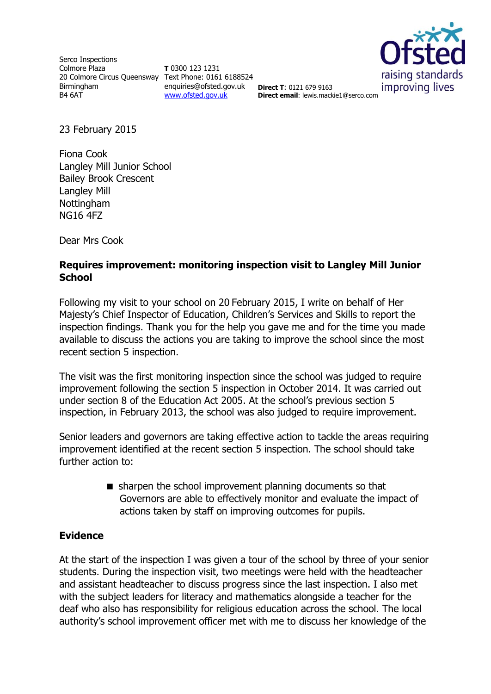Serco Inspections Colmore Plaza 20 Colmore Circus Queensway Text Phone: 0161 6188524 Birmingham B4 6AT

**T** 0300 123 1231 enquiries@ofsted.gov.uk [www.ofsted.gov.uk](http://www.ofsted.gov.uk/)



**Direct T**: 0121 679 9163 **Direct email**: lewis.mackie1@serco.com

23 February 2015

Fiona Cook Langley Mill Junior School Bailey Brook Crescent Langley Mill Nottingham NG16 4FZ

Dear Mrs Cook

## **Requires improvement: monitoring inspection visit to Langley Mill Junior School**

Following my visit to your school on 20 February 2015, I write on behalf of Her Majesty's Chief Inspector of Education, Children's Services and Skills to report the inspection findings. Thank you for the help you gave me and for the time you made available to discuss the actions you are taking to improve the school since the most recent section 5 inspection.

The visit was the first monitoring inspection since the school was judged to require improvement following the section 5 inspection in October 2014. It was carried out under section 8 of the Education Act 2005. At the school's previous section 5 inspection, in February 2013, the school was also judged to require improvement.

Senior leaders and governors are taking effective action to tackle the areas requiring improvement identified at the recent section 5 inspection. The school should take further action to:

> sharpen the school improvement planning documents so that Governors are able to effectively monitor and evaluate the impact of actions taken by staff on improving outcomes for pupils.

# **Evidence**

At the start of the inspection I was given a tour of the school by three of your senior students. During the inspection visit, two meetings were held with the headteacher and assistant headteacher to discuss progress since the last inspection. I also met with the subject leaders for literacy and mathematics alongside a teacher for the deaf who also has responsibility for religious education across the school. The local authority's school improvement officer met with me to discuss her knowledge of the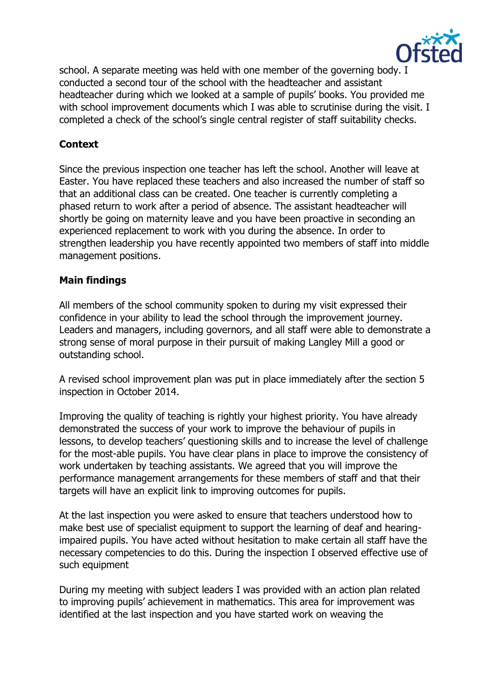

school. A separate meeting was held with one member of the governing body. I conducted a second tour of the school with the headteacher and assistant headteacher during which we looked at a sample of pupils' books. You provided me with school improvement documents which I was able to scrutinise during the visit. I completed a check of the school's single central register of staff suitability checks.

# **Context**

Since the previous inspection one teacher has left the school. Another will leave at Easter. You have replaced these teachers and also increased the number of staff so that an additional class can be created. One teacher is currently completing a phased return to work after a period of absence. The assistant headteacher will shortly be going on maternity leave and you have been proactive in seconding an experienced replacement to work with you during the absence. In order to strengthen leadership you have recently appointed two members of staff into middle management positions.

## **Main findings**

All members of the school community spoken to during my visit expressed their confidence in your ability to lead the school through the improvement journey. Leaders and managers, including governors, and all staff were able to demonstrate a strong sense of moral purpose in their pursuit of making Langley Mill a good or outstanding school.

A revised school improvement plan was put in place immediately after the section 5 inspection in October 2014.

Improving the quality of teaching is rightly your highest priority. You have already demonstrated the success of your work to improve the behaviour of pupils in lessons, to develop teachers' questioning skills and to increase the level of challenge for the most-able pupils. You have clear plans in place to improve the consistency of work undertaken by teaching assistants. We agreed that you will improve the performance management arrangements for these members of staff and that their targets will have an explicit link to improving outcomes for pupils.

At the last inspection you were asked to ensure that teachers understood how to make best use of specialist equipment to support the learning of deaf and hearingimpaired pupils. You have acted without hesitation to make certain all staff have the necessary competencies to do this. During the inspection I observed effective use of such equipment

During my meeting with subject leaders I was provided with an action plan related to improving pupils' achievement in mathematics. This area for improvement was identified at the last inspection and you have started work on weaving the